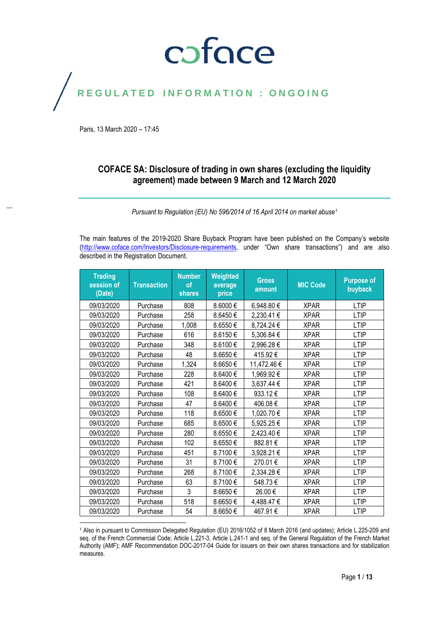### coface

### REGULATED INFORMATION : ONGOING

Paris, 13 March 2020 – 17:45

#### **COFACE SA: Disclosure of trading in own shares (excluding the liquidity agreement) made between 9 March and 12 March 2020**

*Pursuant to Regulation (EU) No 596/2014 of 16 April 2014 on market abuse<sup>1</sup>*

The main features of the 2019-2020 Share Buyback Program have been published on the Company's website [\(http://www.coface.com/Investors/Disclosure-requirements](http://www.coface.com/Investors/Disclosure-requirements), under "Own share transactions") and are also described in the Registration Document.

| session of<br>(Date) | <b>Transaction</b> | <b>Number</b><br>of<br><b>shares</b> | Weighted<br>average<br>price | <b>Gross</b><br>amount | <b>MIC Code</b> | <b>Purpose of</b><br>buyback |
|----------------------|--------------------|--------------------------------------|------------------------------|------------------------|-----------------|------------------------------|
| 09/03/2020           | Purchase           | 808                                  | 8.6000€                      | 6,948.80 €             | <b>XPAR</b>     | <b>LTIP</b>                  |
| 09/03/2020           | Purchase           | 258                                  | 8.6450€                      | 2,230.41€              | <b>XPAR</b>     | <b>LTIP</b>                  |
| 09/03/2020           | Purchase           | 1,008                                | 8.6550€                      | 8,724.24 €             | <b>XPAR</b>     | <b>LTIP</b>                  |
| 09/03/2020           | Purchase           | 616                                  | 8.6150€                      | 5,306.84 €             | <b>XPAR</b>     | <b>LTIP</b>                  |
| 09/03/2020           | Purchase           | 348                                  | 8.6100€                      | 2,996.28€              | <b>XPAR</b>     | <b>LTIP</b>                  |
| 09/03/2020           | Purchase           | 48                                   | 8.6650€                      | 415.92€                | <b>XPAR</b>     | LTIP                         |
| 09/03/2020           | Purchase           | 1,324                                | 8.6650€                      | 11,472.46 €            | <b>XPAR</b>     | <b>LTIP</b>                  |
| 09/03/2020           | Purchase           | 228                                  | 8.6400€                      | 1,969.92€              | <b>XPAR</b>     | <b>LTIP</b>                  |
| 09/03/2020           | Purchase           | 421                                  | 8.6400€                      | 3,637.44 €             | <b>XPAR</b>     | <b>LTIP</b>                  |
| 09/03/2020           | Purchase           | 108                                  | 8.6400€                      | 933.12€                | <b>XPAR</b>     | <b>LTIP</b>                  |
| 09/03/2020           | Purchase           | 47                                   | 8.6400€                      | 406.08€                | <b>XPAR</b>     | LTIP                         |
| 09/03/2020           | Purchase           | 118                                  | 8.6500€                      | 1,020.70 €             | <b>XPAR</b>     | <b>LTIP</b>                  |
| 09/03/2020           | Purchase           | 685                                  | 8.6500€                      | 5,925.25€              | <b>XPAR</b>     | <b>LTIP</b>                  |
| 09/03/2020           | Purchase           | 280                                  | 8.6550€                      | 2,423.40 €             | <b>XPAR</b>     | <b>LTIP</b>                  |
| 09/03/2020           | Purchase           | 102                                  | 8.6550€                      | 882.81€                | <b>XPAR</b>     | <b>LTIP</b>                  |
| 09/03/2020           | Purchase           | 451                                  | 8.7100€                      | 3,928.21 €             | <b>XPAR</b>     | <b>LTIP</b>                  |
| 09/03/2020           | Purchase           | 31                                   | 8.7100€                      | 270.01€                | <b>XPAR</b>     | <b>LTIP</b>                  |
| 09/03/2020           | Purchase           | 268                                  | 8.7100€                      | 2,334.28 €             | <b>XPAR</b>     | <b>LTIP</b>                  |
| 09/03/2020           | Purchase           | 63                                   | 8.7100€                      | 548.73€                | <b>XPAR</b>     | <b>LTIP</b>                  |
| 09/03/2020           | Purchase           | 3                                    | 8.6650€                      | 26.00€                 | <b>XPAR</b>     | <b>LTIP</b>                  |
| 09/03/2020           | Purchase           | 518                                  | 8.6650€                      | 4,488.47 €             | <b>XPAR</b>     | <b>LTIP</b>                  |
| 09/03/2020           | Purchase           | 54                                   | 8.6650€                      | 467.91€                | <b>XPAR</b>     | <b>LTIP</b>                  |

<sup>1</sup> Also in pursuant to Commission Delegated Regulation (EU) 2016/1052 of 8 March 2016 (and updates); Article L.225-209 and seq. of the French Commercial Code; Article L.221-3, Article L.241-1 and seq. of the General Regulation of the French Market Authority (AMF); AMF Recommendation DOC-2017-04 Guide for issuers on their own shares transactions and for stabilization measures.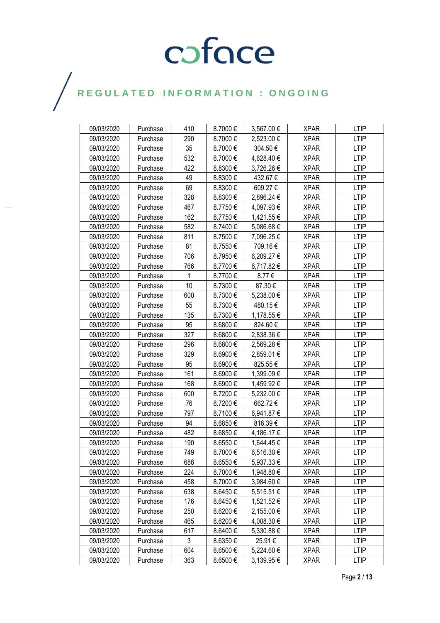| 09/03/2020 | Purchase | 410 | 8.7000€ | 3,567.00 € | <b>XPAR</b> | <b>LTIP</b> |
|------------|----------|-----|---------|------------|-------------|-------------|
| 09/03/2020 | Purchase | 290 | 8.7000€ | 2,523.00 € | <b>XPAR</b> | <b>LTIP</b> |
| 09/03/2020 | Purchase | 35  | 8.7000€ | 304.50€    | <b>XPAR</b> | <b>LTIP</b> |
| 09/03/2020 | Purchase | 532 | 8.7000€ | 4,628.40 € | <b>XPAR</b> | <b>LTIP</b> |
| 09/03/2020 | Purchase | 422 | 8.8300€ | 3,726.26 € | <b>XPAR</b> | <b>LTIP</b> |
| 09/03/2020 | Purchase | 49  | 8.8300€ | 432.67€    | <b>XPAR</b> | <b>LTIP</b> |
| 09/03/2020 | Purchase | 69  | 8.8300€ | 609.27€    | <b>XPAR</b> | <b>LTIP</b> |
| 09/03/2020 | Purchase | 328 | 8.8300€ | 2,896.24 € | <b>XPAR</b> | <b>LTIP</b> |
| 09/03/2020 | Purchase | 467 | 8.7750€ | 4,097.93 € | <b>XPAR</b> | <b>LTIP</b> |
| 09/03/2020 | Purchase | 162 | 8.7750€ | 1,421.55 € | <b>XPAR</b> | <b>LTIP</b> |
| 09/03/2020 | Purchase | 582 | 8.7400€ | 5,086.68 € | <b>XPAR</b> | <b>LTIP</b> |
| 09/03/2020 | Purchase | 811 | 8.7500€ | 7,096.25 € | <b>XPAR</b> | <b>LTIP</b> |
| 09/03/2020 | Purchase | 81  | 8.7550€ | 709.16€    | <b>XPAR</b> | <b>LTIP</b> |
| 09/03/2020 | Purchase | 706 | 8.7950€ | 6,209.27 € | <b>XPAR</b> | <b>LTIP</b> |
| 09/03/2020 | Purchase | 766 | 8.7700€ | 6,717.82 € | <b>XPAR</b> | <b>LTIP</b> |
| 09/03/2020 | Purchase | 1   | 8.7700€ | 8.77€      | <b>XPAR</b> | <b>LTIP</b> |
| 09/03/2020 | Purchase | 10  | 8.7300€ | 87.30€     | <b>XPAR</b> | <b>LTIP</b> |
| 09/03/2020 | Purchase | 600 | 8.7300€ | 5,238.00 € | <b>XPAR</b> | <b>LTIP</b> |
| 09/03/2020 | Purchase | 55  | 8.7300€ | 480.15€    | <b>XPAR</b> | <b>LTIP</b> |
| 09/03/2020 | Purchase | 135 | 8.7300€ | 1,178.55 € | <b>XPAR</b> | <b>LTIP</b> |
| 09/03/2020 | Purchase | 95  | 8.6800€ | 824.60€    | <b>XPAR</b> | <b>LTIP</b> |
| 09/03/2020 | Purchase | 327 | 8.6800€ | 2,838.36 € | <b>XPAR</b> | <b>LTIP</b> |
| 09/03/2020 | Purchase | 296 | 8.6800€ | 2,569.28 € | <b>XPAR</b> | <b>LTIP</b> |
| 09/03/2020 | Purchase | 329 | 8.6900€ | 2,859.01 € | <b>XPAR</b> | <b>LTIP</b> |
| 09/03/2020 | Purchase | 95  | 8.6900€ | 825.55€    | <b>XPAR</b> | <b>LTIP</b> |
| 09/03/2020 | Purchase | 161 | 8.6900€ | 1,399.09 € | <b>XPAR</b> | <b>LTIP</b> |
| 09/03/2020 | Purchase | 168 | 8.6900€ | 1,459.92 € | <b>XPAR</b> | <b>LTIP</b> |
| 09/03/2020 | Purchase | 600 | 8.7200€ | 5,232.00 € | <b>XPAR</b> | <b>LTIP</b> |
| 09/03/2020 | Purchase | 76  | 8.7200€ | 662.72€    | <b>XPAR</b> | <b>LTIP</b> |
| 09/03/2020 | Purchase | 797 | 8.7100€ | 6,941.87 € | <b>XPAR</b> | <b>LTIP</b> |
| 09/03/2020 | Purchase | 94  | 8.6850€ | 816.39€    | <b>XPAR</b> | LTIP        |
| 09/03/2020 | Purchase | 482 | 8.6850€ | 4,186.17 € | <b>XPAR</b> | <b>LTIP</b> |
| 09/03/2020 | Purchase | 190 | 8.6550€ | 1,644.45 € | <b>XPAR</b> | <b>LTIP</b> |
| 09/03/2020 | Purchase | 749 | 8.7000€ | 6,516.30€  | <b>XPAR</b> | <b>LTIP</b> |
| 09/03/2020 | Purchase | 686 | 8.6550€ | 5,937.33 € | <b>XPAR</b> | <b>LTIP</b> |
| 09/03/2020 | Purchase | 224 | 8.7000€ | 1,948.80 € | <b>XPAR</b> | LTIP        |
| 09/03/2020 | Purchase | 458 | 8.7000€ | 3,984.60 € | <b>XPAR</b> | <b>LTIP</b> |
| 09/03/2020 | Purchase | 638 | 8.6450€ | 5,515.51 € | <b>XPAR</b> | LTIP        |
| 09/03/2020 | Purchase | 176 | 8.6450€ | 1,521.52 € | <b>XPAR</b> | <b>LTIP</b> |
| 09/03/2020 | Purchase | 250 | 8.6200€ | 2,155.00 € | <b>XPAR</b> | <b>LTIP</b> |
| 09/03/2020 | Purchase | 465 | 8.6200€ | 4,008.30 € | <b>XPAR</b> | LTIP        |
| 09/03/2020 | Purchase | 617 | 8.6400€ | 5,330.88 € | <b>XPAR</b> | <b>LTIP</b> |
| 09/03/2020 | Purchase | 3   | 8.6350€ | 25.91€     | <b>XPAR</b> | <b>LTIP</b> |
| 09/03/2020 | Purchase | 604 | 8.6500€ | 5,224.60 € | <b>XPAR</b> | <b>LTIP</b> |
| 09/03/2020 | Purchase | 363 | 8.6500€ | 3,139.95 € | <b>XPAR</b> | <b>LTIP</b> |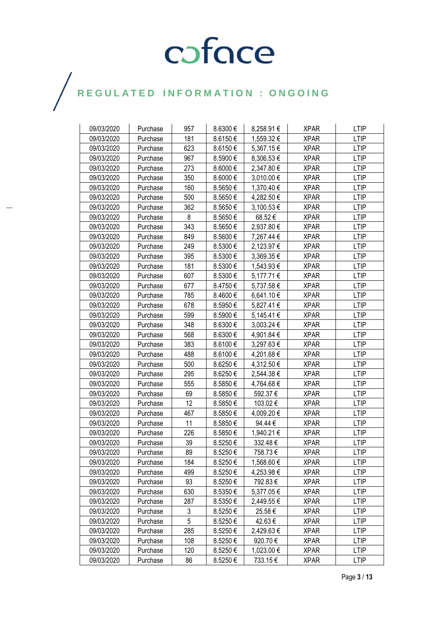| 09/03/2020 | Purchase | 957 | 8.6300€  | 8,258.91 € | <b>XPAR</b> | <b>LTIP</b> |
|------------|----------|-----|----------|------------|-------------|-------------|
| 09/03/2020 | Purchase | 181 | 8.6150€  | 1,559.32 € | <b>XPAR</b> | <b>LTIP</b> |
| 09/03/2020 | Purchase | 623 | 8.6150€  | 5,367.15 € | <b>XPAR</b> | <b>LTIP</b> |
| 09/03/2020 | Purchase | 967 | 8.5900€  | 8,306.53 € | <b>XPAR</b> | <b>LTIP</b> |
| 09/03/2020 | Purchase | 273 | 8.6000€  | 2,347.80 € | <b>XPAR</b> | <b>LTIP</b> |
| 09/03/2020 | Purchase | 350 | 8.6000€  | 3,010.00 € | <b>XPAR</b> | <b>LTIP</b> |
| 09/03/2020 | Purchase | 160 | 8.5650€  | 1,370.40 € | <b>XPAR</b> | LTIP        |
| 09/03/2020 | Purchase | 500 | 8.5650€  | 4,282.50 € | <b>XPAR</b> | <b>LTIP</b> |
| 09/03/2020 | Purchase | 362 | 8.5650€  | 3,100.53 € | <b>XPAR</b> | <b>LTIP</b> |
| 09/03/2020 | Purchase | 8   | 8.5650€  | 68.52€     | <b>XPAR</b> | <b>LTIP</b> |
| 09/03/2020 | Purchase | 343 | 8.5650€  | 2,937.80 € | <b>XPAR</b> | <b>LTIP</b> |
| 09/03/2020 | Purchase | 849 | 8.5600€  | 7,267.44 € | <b>XPAR</b> | <b>LTIP</b> |
| 09/03/2020 | Purchase | 249 | 8.5300€  | 2,123.97 € | <b>XPAR</b> | <b>LTIP</b> |
| 09/03/2020 | Purchase | 395 | 8.5300€  | 3,369.35 € | <b>XPAR</b> | <b>LTIP</b> |
| 09/03/2020 | Purchase | 181 | 8.5300€  | 1,543.93 € | <b>XPAR</b> | <b>LTIP</b> |
| 09/03/2020 | Purchase | 607 | 8.5300€  | 5,177.71 € | <b>XPAR</b> | <b>LTIP</b> |
| 09/03/2020 | Purchase | 677 | 8.4750€  | 5,737.58€  | <b>XPAR</b> | <b>LTIP</b> |
| 09/03/2020 | Purchase | 785 | 8.4600€  | 6,641.10 € | <b>XPAR</b> | <b>LTIP</b> |
| 09/03/2020 | Purchase | 678 | 8.5950€  | 5,827.41 € | <b>XPAR</b> | <b>LTIP</b> |
| 09/03/2020 | Purchase | 599 | 8.5900€  | 5,145.41 € | <b>XPAR</b> | <b>LTIP</b> |
| 09/03/2020 | Purchase | 348 | 8.6300€  | 3,003.24 € | <b>XPAR</b> | <b>LTIP</b> |
| 09/03/2020 | Purchase | 568 | 8.6300€  | 4,901.84 € | <b>XPAR</b> | <b>LTIP</b> |
| 09/03/2020 | Purchase | 383 | 8.6100€  | 3,297.63 € | <b>XPAR</b> | <b>LTIP</b> |
| 09/03/2020 | Purchase | 488 | 8.6100€  | 4,201.68 € | <b>XPAR</b> | <b>LTIP</b> |
| 09/03/2020 | Purchase | 500 | 8.6250€  | 4,312.50 € | <b>XPAR</b> | <b>LTIP</b> |
| 09/03/2020 | Purchase | 295 | 8.6250€  | 2,544.38 € | <b>XPAR</b> | <b>LTIP</b> |
| 09/03/2020 | Purchase | 555 | 8.5850€  | 4,764.68 € | <b>XPAR</b> | <b>LTIP</b> |
| 09/03/2020 | Purchase | 69  | 8.5850€  | 592.37€    | <b>XPAR</b> | <b>LTIP</b> |
| 09/03/2020 | Purchase | 12  | 8.5850 € | 103.02€    | <b>XPAR</b> | <b>LTIP</b> |
| 09/03/2020 | Purchase | 467 | 8.5850€  | 4,009.20 € | <b>XPAR</b> | <b>LTIP</b> |
| 09/03/2020 | Purchase | 11  | 8.5850€  | 94.44€     | <b>XPAR</b> | <b>LTIP</b> |
| 09/03/2020 | Purchase | 226 | 8.5850€  | 1,940.21 € | <b>XPAR</b> | <b>LTIP</b> |
| 09/03/2020 | Purchase | 39  | 8.5250€  | 332.48€    | <b>XPAR</b> | <b>LTIP</b> |
| 09/03/2020 | Purchase | 89  | 8.5250€  | 758.73€    | <b>XPAR</b> | <b>LTIP</b> |
| 09/03/2020 | Purchase | 184 | 8.5250€  | 1,568.60 € | <b>XPAR</b> | <b>LTIP</b> |
| 09/03/2020 | Purchase | 499 | 8.5250€  | 4,253.98 € | <b>XPAR</b> | LTIP        |
| 09/03/2020 | Purchase | 93  | 8.5250€  | 792.83€    | <b>XPAR</b> | <b>LTIP</b> |
| 09/03/2020 | Purchase | 630 | 8.5350€  | 5,377.05 € | <b>XPAR</b> | <b>LTIP</b> |
| 09/03/2020 | Purchase | 287 | 8.5350€  | 2,449.55 € | <b>XPAR</b> | <b>LTIP</b> |
| 09/03/2020 | Purchase | 3   | 8.5250€  | 25.58€     | <b>XPAR</b> | <b>LTIP</b> |
| 09/03/2020 | Purchase | 5   | 8.5250€  | 42.63 €    | <b>XPAR</b> | <b>LTIP</b> |
| 09/03/2020 | Purchase | 285 | 8.5250€  | 2,429.63 € | <b>XPAR</b> | <b>LTIP</b> |
| 09/03/2020 | Purchase | 108 | 8.5250€  | 920.70€    | <b>XPAR</b> | LTIP        |
| 09/03/2020 | Purchase | 120 | 8.5250€  | 1,023.00 € | <b>XPAR</b> | <b>LTIP</b> |
| 09/03/2020 | Purchase | 86  | 8.5250€  | 733.15€    | XPAR        | LTIP        |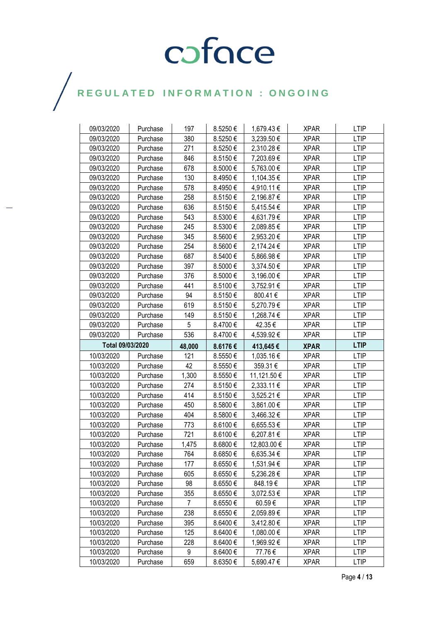| 09/03/2020               | Purchase | 197    | 8.5250€            | 1,679.43 €  | <b>XPAR</b> | <b>LTIP</b>                |
|--------------------------|----------|--------|--------------------|-------------|-------------|----------------------------|
| 09/03/2020               | Purchase | 380    | 8.5250€            | 3,239.50 €  | <b>XPAR</b> | <b>LTIP</b>                |
| 09/03/2020               | Purchase | 271    | 8.5250€            | 2,310.28 €  | <b>XPAR</b> | <b>LTIP</b>                |
| 09/03/2020               | Purchase | 846    | 8.5150€            | 7,203.69€   | <b>XPAR</b> | <b>LTIP</b>                |
| 09/03/2020               | Purchase | 678    | 8.5000€            | 5,763.00 €  | <b>XPAR</b> | <b>LTIP</b>                |
| 09/03/2020               | Purchase | 130    | 8.4950€            | 1,104.35 €  | <b>XPAR</b> | <b>LTIP</b>                |
| 09/03/2020               | Purchase | 578    | 8.4950€            | 4,910.11 €  | <b>XPAR</b> | <b>LTIP</b>                |
| 09/03/2020               | Purchase | 258    | 8.5150€            | 2,196.87 €  | <b>XPAR</b> | <b>LTIP</b>                |
| 09/03/2020               | Purchase | 636    | 8.5150€            | 5,415.54 €  | <b>XPAR</b> | <b>LTIP</b>                |
| 09/03/2020               | Purchase | 543    | 8.5300€            | 4,631.79€   | <b>XPAR</b> | <b>LTIP</b>                |
| 09/03/2020               | Purchase | 245    | 8.5300€            | 2,089.85 €  | <b>XPAR</b> | <b>LTIP</b>                |
| 09/03/2020               | Purchase | 345    | 8.5600€            | 2,953.20 €  | <b>XPAR</b> | <b>LTIP</b>                |
| 09/03/2020               | Purchase | 254    | 8.5600€            | 2,174.24 €  | <b>XPAR</b> | <b>LTIP</b>                |
| 09/03/2020               | Purchase | 687    | 8.5400€            | 5,866.98€   | <b>XPAR</b> | <b>LTIP</b>                |
| 09/03/2020               | Purchase | 397    | 8.5000€            | 3,374.50 €  | <b>XPAR</b> | <b>LTIP</b>                |
| 09/03/2020               | Purchase | 376    | 8.5000€            | 3,196.00 €  | <b>XPAR</b> | <b>LTIP</b>                |
| 09/03/2020               | Purchase | 441    | 8.5100€            | 3,752.91 €  | <b>XPAR</b> | <b>LTIP</b>                |
| 09/03/2020               | Purchase | 94     | 8.5150€            | 800.41€     | <b>XPAR</b> | <b>LTIP</b>                |
| 09/03/2020               | Purchase | 619    | 8.5150€            | 5,270.79€   | <b>XPAR</b> | <b>LTIP</b>                |
| 09/03/2020               | Purchase | 149    | 8.5150€            | 1,268.74 €  | <b>XPAR</b> | <b>LTIP</b>                |
| 09/03/2020               | Purchase | 5      | 8.4700€            | 42.35 €     | <b>XPAR</b> | <b>LTIP</b>                |
| 09/03/2020               | Purchase | 536    | 8.4700€            | 4,539.92 €  | <b>XPAR</b> | <b>LTIP</b>                |
| Total 09/03/2020         |          |        |                    |             |             |                            |
|                          |          | 48,000 | 8.6176€            | 413,645€    | <b>XPAR</b> | <b>LTIP</b>                |
| 10/03/2020               | Purchase | 121    | 8.5550€            | 1,035.16 €  | <b>XPAR</b> | <b>LTIP</b>                |
| 10/03/2020               | Purchase | 42     | 8.5550€            | 359.31€     | <b>XPAR</b> | <b>LTIP</b>                |
| 10/03/2020               | Purchase | 1,300  | 8.5550€            | 11,121.50 € | <b>XPAR</b> | <b>LTIP</b>                |
| 10/03/2020               | Purchase | 274    | 8.5150€            | 2,333.11 €  | <b>XPAR</b> | <b>LTIP</b>                |
| 10/03/2020               | Purchase | 414    | 8.5150€            | 3,525.21 €  | <b>XPAR</b> | <b>LTIP</b>                |
| 10/03/2020               | Purchase | 450    | 8.5800€            | 3,861.00 €  | <b>XPAR</b> | <b>LTIP</b>                |
| 10/03/2020               | Purchase | 404    | 8.5800€            | 3,466.32 €  | <b>XPAR</b> | <b>LTIP</b>                |
| 10/03/2020               | Purchase | 773    | 8.6100€            | 6,655.53€   | <b>XPAR</b> | <b>LTIP</b>                |
| 10/03/2020               | Purchase | 721    | 8.6100€            | 6,207.81€   | <b>XPAR</b> | <b>LTIP</b>                |
| 10/03/2020               | Purchase | 1,475  | 8.6800€            | 12,803.00 € | <b>XPAR</b> | <b>LTIP</b>                |
| 10/03/2020               | Purchase | 764    | 8.6850€            | 6,635.34 €  | <b>XPAR</b> | <b>LTIP</b>                |
| 10/03/2020               | Purchase | 177    | 8.6550€            | 1,531.94 €  | <b>XPAR</b> | <b>LTIP</b>                |
| 10/03/2020               | Purchase | 605    | 8.6550€            | 5,236.28€   | <b>XPAR</b> | <b>LTIP</b>                |
| 10/03/2020               | Purchase | 98     | 8.6550€            | 848.19€     | <b>XPAR</b> | <b>LTIP</b>                |
| 10/03/2020               | Purchase | 355    | 8.6550€            | 3,072.53 €  | <b>XPAR</b> | <b>LTIP</b>                |
| 10/03/2020               | Purchase | 7      | 8.6550€            | 60.59€      | <b>XPAR</b> | LTIP                       |
| 10/03/2020               | Purchase | 238    | 8.6550€            | 2,059.89€   | <b>XPAR</b> | <b>LTIP</b>                |
| 10/03/2020               | Purchase | 395    | 8.6400€            | 3,412.80 €  | <b>XPAR</b> | LTIP                       |
| 10/03/2020               | Purchase | 125    | 8.6400€            | 1,080.00 €  | <b>XPAR</b> | <b>LTIP</b>                |
| 10/03/2020               | Purchase | 228    | 8.6400€            | 1,969.92 €  | <b>XPAR</b> | LTIP                       |
| 10/03/2020<br>10/03/2020 | Purchase | 9      | 8.6400€<br>8.6350€ | 77.76€      | <b>XPAR</b> | <b>LTIP</b><br><b>LTIP</b> |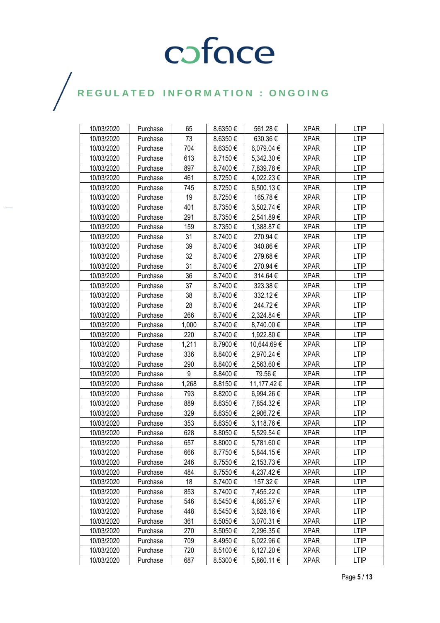| 10/03/2020 | Purchase | 65    | 8.6350€ | 561.28€     | <b>XPAR</b> | <b>LTIP</b> |
|------------|----------|-------|---------|-------------|-------------|-------------|
| 10/03/2020 | Purchase | 73    | 8.6350€ | 630.36€     | <b>XPAR</b> | <b>LTIP</b> |
| 10/03/2020 | Purchase | 704   | 8.6350€ | 6,079.04 €  | <b>XPAR</b> | <b>LTIP</b> |
| 10/03/2020 | Purchase | 613   | 8.7150€ | 5,342.30 €  | <b>XPAR</b> | <b>LTIP</b> |
| 10/03/2020 | Purchase | 897   | 8.7400€ | 7,839.78€   | <b>XPAR</b> | <b>LTIP</b> |
| 10/03/2020 | Purchase | 461   | 8.7250€ | 4,022.23 €  | <b>XPAR</b> | <b>LTIP</b> |
| 10/03/2020 | Purchase | 745   | 8.7250€ | 6,500.13 €  | <b>XPAR</b> | <b>LTIP</b> |
| 10/03/2020 | Purchase | 19    | 8.7250€ | 165.78€     | <b>XPAR</b> | <b>LTIP</b> |
| 10/03/2020 | Purchase | 401   | 8.7350€ | 3,502.74 €  | XPAR        | <b>LTIP</b> |
| 10/03/2020 | Purchase | 291   | 8.7350€ | 2,541.89€   | <b>XPAR</b> | <b>LTIP</b> |
| 10/03/2020 | Purchase | 159   | 8.7350€ | 1,388.87 €  | <b>XPAR</b> | <b>LTIP</b> |
| 10/03/2020 | Purchase | 31    | 8.7400€ | 270.94€     | <b>XPAR</b> | <b>LTIP</b> |
| 10/03/2020 | Purchase | 39    | 8.7400€ | 340.86€     | <b>XPAR</b> | <b>LTIP</b> |
| 10/03/2020 | Purchase | 32    | 8.7400€ | 279.68€     | <b>XPAR</b> | <b>LTIP</b> |
| 10/03/2020 | Purchase | 31    | 8.7400€ | 270.94€     | <b>XPAR</b> | <b>LTIP</b> |
| 10/03/2020 | Purchase | 36    | 8.7400€ | 314.64€     | <b>XPAR</b> | <b>LTIP</b> |
| 10/03/2020 | Purchase | 37    | 8.7400€ | 323.38€     | <b>XPAR</b> | <b>LTIP</b> |
| 10/03/2020 | Purchase | 38    | 8.7400€ | 332.12€     | <b>XPAR</b> | <b>LTIP</b> |
| 10/03/2020 | Purchase | 28    | 8.7400€ | 244.72€     | <b>XPAR</b> | <b>LTIP</b> |
| 10/03/2020 | Purchase | 266   | 8.7400€ | 2,324.84 €  | <b>XPAR</b> | <b>LTIP</b> |
| 10/03/2020 | Purchase | 1,000 | 8.7400€ | 8,740.00 €  | <b>XPAR</b> | <b>LTIP</b> |
| 10/03/2020 | Purchase | 220   | 8.7400€ | 1,922.80 €  | <b>XPAR</b> | <b>LTIP</b> |
| 10/03/2020 | Purchase | 1,211 | 8.7900€ | 10,644.69€  | <b>XPAR</b> | <b>LTIP</b> |
| 10/03/2020 | Purchase | 336   | 8.8400€ | 2,970.24 €  | <b>XPAR</b> | <b>LTIP</b> |
| 10/03/2020 | Purchase | 290   | 8.8400€ | 2,563.60 €  | <b>XPAR</b> | <b>LTIP</b> |
| 10/03/2020 | Purchase | 9     | 8.8400€ | 79.56€      | <b>XPAR</b> | <b>LTIP</b> |
| 10/03/2020 | Purchase | 1,268 | 8.8150€ | 11,177.42 € | <b>XPAR</b> | <b>LTIP</b> |
| 10/03/2020 | Purchase | 793   | 8.8200€ | 6,994.26€   | <b>XPAR</b> | <b>LTIP</b> |
| 10/03/2020 | Purchase | 889   | 8.8350€ | 7,854.32 €  | <b>XPAR</b> | <b>LTIP</b> |
| 10/03/2020 | Purchase | 329   | 8.8350€ | 2,906.72€   | <b>XPAR</b> | <b>LTIP</b> |
| 10/03/2020 | Purchase | 353   | 8.8350€ | 3,118.76 €  | <b>XPAR</b> | <b>LTIP</b> |
| 10/03/2020 | Purchase | 628   | 8.8050€ | 5,529.54 €  | <b>XPAR</b> | <b>LTIP</b> |
| 10/03/2020 | Purchase | 657   | 8.8000€ | 5,781.60 €  | <b>XPAR</b> | <b>LTIP</b> |
| 10/03/2020 | Purchase | 666   | 8.7750€ | 5,844.15€   | <b>XPAR</b> | <b>LTIP</b> |
| 10/03/2020 | Purchase | 246   | 8.7550€ | 2,153.73 €  | <b>XPAR</b> | <b>LTIP</b> |
| 10/03/2020 | Purchase | 484   | 8.7550€ | 4,237.42 €  | <b>XPAR</b> | <b>LTIP</b> |
| 10/03/2020 | Purchase | 18    | 8.7400€ | 157.32€     | <b>XPAR</b> | <b>LTIP</b> |
| 10/03/2020 | Purchase | 853   | 8.7400€ | 7,455.22 €  | <b>XPAR</b> | <b>LTIP</b> |
| 10/03/2020 | Purchase | 546   | 8.5450€ | 4,665.57 €  | <b>XPAR</b> | <b>LTIP</b> |
| 10/03/2020 | Purchase | 448   | 8.5450€ | 3,828.16 €  | <b>XPAR</b> | <b>LTIP</b> |
| 10/03/2020 | Purchase | 361   | 8.5050€ | 3,070.31 €  | <b>XPAR</b> | <b>LTIP</b> |
| 10/03/2020 | Purchase | 270   | 8.5050€ | 2,296.35 €  | <b>XPAR</b> | <b>LTIP</b> |
| 10/03/2020 | Purchase | 709   | 8.4950€ | 6,022.96 €  | <b>XPAR</b> | LTIP        |
| 10/03/2020 | Purchase | 720   | 8.5100€ | 6,127.20 €  | <b>XPAR</b> | <b>LTIP</b> |
| 10/03/2020 | Purchase | 687   | 8.5300€ | 5,860.11 €  | <b>XPAR</b> | <b>LTIP</b> |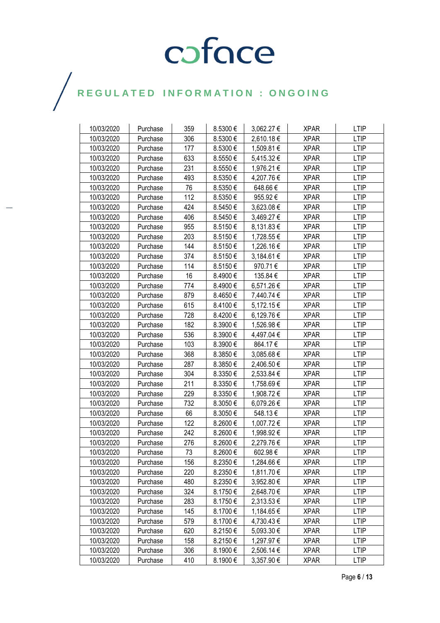| 10/03/2020 | Purchase | 359 | 8.5300€ | 3,062.27 € | <b>XPAR</b> | <b>LTIP</b> |
|------------|----------|-----|---------|------------|-------------|-------------|
| 10/03/2020 | Purchase | 306 | 8.5300€ | 2,610.18€  | <b>XPAR</b> | LTIP        |
| 10/03/2020 | Purchase | 177 | 8.5300€ | 1,509.81 € | <b>XPAR</b> | <b>LTIP</b> |
| 10/03/2020 | Purchase | 633 | 8.5550€ | 5,415.32 € | <b>XPAR</b> | <b>LTIP</b> |
| 10/03/2020 | Purchase | 231 | 8.5550€ | 1,976.21 € | <b>XPAR</b> | <b>LTIP</b> |
| 10/03/2020 | Purchase | 493 | 8.5350€ | 4,207.76 € | <b>XPAR</b> | <b>LTIP</b> |
| 10/03/2020 | Purchase | 76  | 8.5350€ | 648.66€    | <b>XPAR</b> | <b>LTIP</b> |
| 10/03/2020 | Purchase | 112 | 8.5350€ | 955.92€    | <b>XPAR</b> | <b>LTIP</b> |
| 10/03/2020 | Purchase | 424 | 8.5450€ | 3,623.08 € | <b>XPAR</b> | <b>LTIP</b> |
| 10/03/2020 | Purchase | 406 | 8.5450€ | 3,469.27 € | <b>XPAR</b> | <b>LTIP</b> |
| 10/03/2020 | Purchase | 955 | 8.5150€ | 8,131.83 € | <b>XPAR</b> | <b>LTIP</b> |
| 10/03/2020 | Purchase | 203 | 8.5150€ | 1,728.55 € | <b>XPAR</b> | <b>LTIP</b> |
| 10/03/2020 | Purchase | 144 | 8.5150€ | 1,226.16€  | <b>XPAR</b> | <b>LTIP</b> |
| 10/03/2020 | Purchase | 374 | 8.5150€ | 3,184.61 € | <b>XPAR</b> | <b>LTIP</b> |
| 10/03/2020 | Purchase | 114 | 8.5150€ | 970.71€    | <b>XPAR</b> | <b>LTIP</b> |
| 10/03/2020 | Purchase | 16  | 8.4900€ | 135.84 €   | <b>XPAR</b> | <b>LTIP</b> |
| 10/03/2020 | Purchase | 774 | 8.4900€ | 6,571.26 € | <b>XPAR</b> | <b>LTIP</b> |
| 10/03/2020 | Purchase | 879 | 8.4650€ | 7,440.74 € | XPAR        | <b>LTIP</b> |
| 10/03/2020 | Purchase | 615 | 8.4100€ | 5,172.15 € | <b>XPAR</b> | <b>LTIP</b> |
| 10/03/2020 | Purchase | 728 | 8.4200€ | 6,129.76 € | <b>XPAR</b> | <b>LTIP</b> |
| 10/03/2020 | Purchase | 182 | 8.3900€ | 1,526.98 € | <b>XPAR</b> | <b>LTIP</b> |
| 10/03/2020 | Purchase | 536 | 8.3900€ | 4,497.04 € | <b>XPAR</b> | <b>LTIP</b> |
| 10/03/2020 | Purchase | 103 | 8.3900€ | 864.17€    | <b>XPAR</b> | <b>LTIP</b> |
| 10/03/2020 | Purchase | 368 | 8.3850€ | 3,085.68€  | <b>XPAR</b> | <b>LTIP</b> |
| 10/03/2020 | Purchase | 287 | 8.3850€ | 2,406.50 € | <b>XPAR</b> | <b>LTIP</b> |
| 10/03/2020 | Purchase | 304 | 8.3350€ | 2,533.84 € | <b>XPAR</b> | <b>LTIP</b> |
| 10/03/2020 | Purchase | 211 | 8.3350€ | 1,758.69 € | <b>XPAR</b> | <b>LTIP</b> |
| 10/03/2020 | Purchase | 229 | 8.3350€ | 1,908.72 € | <b>XPAR</b> | <b>LTIP</b> |
| 10/03/2020 | Purchase | 732 | 8.3050€ | 6,079.26 € | <b>XPAR</b> | <b>LTIP</b> |
| 10/03/2020 | Purchase | 66  | 8.3050€ | 548.13€    | <b>XPAR</b> | <b>LTIP</b> |
| 10/03/2020 | Purchase | 122 | 8.2600€ | 1,007.72 € | <b>XPAR</b> | <b>LTIP</b> |
| 10/03/2020 | Purchase | 242 | 8.2600€ | 1,998.92€  | <b>XPAR</b> | <b>LTIP</b> |
| 10/03/2020 | Purchase | 276 | 8.2600€ | 2,279.76€  | <b>XPAR</b> | <b>LTIP</b> |
| 10/03/2020 | Purchase | 73  | 8.2600€ | 602.98€    | <b>XPAR</b> | <b>LTIP</b> |
| 10/03/2020 | Purchase | 156 | 8.2350€ | 1,284.66 € | <b>XPAR</b> | <b>LTIP</b> |
| 10/03/2020 | Purchase | 220 | 8.2350€ | 1,811.70 € | <b>XPAR</b> | <b>LTIP</b> |
| 10/03/2020 | Purchase | 480 | 8.2350€ | 3,952.80 € | <b>XPAR</b> | <b>LTIP</b> |
| 10/03/2020 | Purchase | 324 | 8.1750€ | 2,648.70 € | <b>XPAR</b> | <b>LTIP</b> |
| 10/03/2020 | Purchase | 283 | 8.1750€ | 2,313.53 € | <b>XPAR</b> | <b>LTIP</b> |
| 10/03/2020 | Purchase | 145 | 8.1700€ | 1,184.65 € | <b>XPAR</b> | LTIP        |
| 10/03/2020 | Purchase | 579 | 8.1700€ | 4,730.43 € | <b>XPAR</b> | <b>LTIP</b> |
| 10/03/2020 | Purchase | 620 | 8.2150€ | 5,093.30 € | <b>XPAR</b> | <b>LTIP</b> |
| 10/03/2020 | Purchase | 158 | 8.2150€ | 1,297.97 € | <b>XPAR</b> | <b>LTIP</b> |
| 10/03/2020 | Purchase | 306 | 8.1900€ | 2,506.14 € | <b>XPAR</b> | <b>LTIP</b> |
| 10/03/2020 | Purchase | 410 | 8.1900€ | 3,357.90 € | <b>XPAR</b> | LTIP        |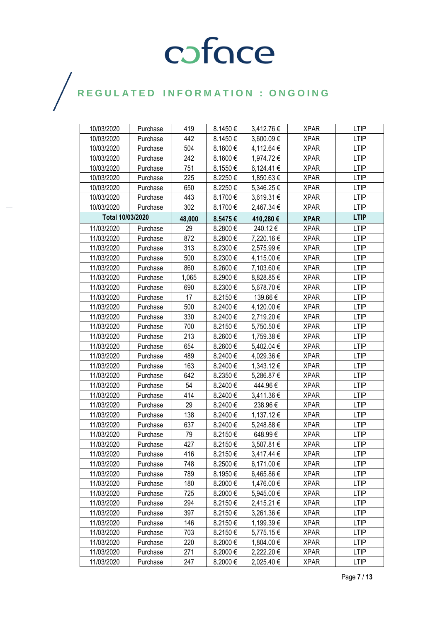| 10/03/2020       | Purchase | 419    | 8.1450€ | 3,412.76 € | <b>XPAR</b> | <b>LTIP</b> |
|------------------|----------|--------|---------|------------|-------------|-------------|
| 10/03/2020       | Purchase | 442    | 8.1450€ | 3,600.09€  | <b>XPAR</b> | <b>LTIP</b> |
| 10/03/2020       | Purchase | 504    | 8.1600€ | 4,112.64 € | <b>XPAR</b> | <b>LTIP</b> |
| 10/03/2020       | Purchase | 242    | 8.1600€ | 1,974.72 € | <b>XPAR</b> | <b>LTIP</b> |
| 10/03/2020       | Purchase | 751    | 8.1550€ | 6,124.41 € | <b>XPAR</b> | <b>LTIP</b> |
| 10/03/2020       | Purchase | 225    | 8.2250€ | 1,850.63 € | <b>XPAR</b> | <b>LTIP</b> |
| 10/03/2020       | Purchase | 650    | 8.2250€ | 5,346.25 € | <b>XPAR</b> | <b>LTIP</b> |
| 10/03/2020       | Purchase | 443    | 8.1700€ | 3,619.31 € | <b>XPAR</b> | <b>LTIP</b> |
| 10/03/2020       | Purchase | 302    | 8.1700€ | 2,467.34 € | <b>XPAR</b> | <b>LTIP</b> |
| Total 10/03/2020 |          | 48,000 | 8.5475€ | 410,280€   | <b>XPAR</b> | <b>LTIP</b> |
| 11/03/2020       | Purchase | 29     | 8.2800€ | 240.12€    | <b>XPAR</b> | <b>LTIP</b> |
| 11/03/2020       | Purchase | 872    | 8.2800€ | 7,220.16€  | <b>XPAR</b> | <b>LTIP</b> |
| 11/03/2020       | Purchase | 313    | 8.2300€ | 2,575.99€  | <b>XPAR</b> | <b>LTIP</b> |
| 11/03/2020       | Purchase | 500    | 8.2300€ | 4,115.00 € | <b>XPAR</b> | <b>LTIP</b> |
| 11/03/2020       | Purchase | 860    | 8.2600€ | 7,103.60 € | <b>XPAR</b> | <b>LTIP</b> |
| 11/03/2020       | Purchase | 1,065  | 8.2900€ | 8,828.85 € | <b>XPAR</b> | <b>LTIP</b> |
| 11/03/2020       | Purchase | 690    | 8.2300€ | 5,678.70 € | <b>XPAR</b> | <b>LTIP</b> |
| 11/03/2020       | Purchase | 17     | 8.2150€ | 139.66€    | <b>XPAR</b> | <b>LTIP</b> |
| 11/03/2020       | Purchase | 500    | 8.2400€ | 4,120.00 € | <b>XPAR</b> | <b>LTIP</b> |
| 11/03/2020       | Purchase | 330    | 8.2400€ | 2,719.20 € | <b>XPAR</b> | <b>LTIP</b> |
| 11/03/2020       | Purchase | 700    | 8.2150€ | 5,750.50€  | <b>XPAR</b> | <b>LTIP</b> |
| 11/03/2020       | Purchase | 213    | 8.2600€ | 1,759.38 € | <b>XPAR</b> | <b>LTIP</b> |
| 11/03/2020       | Purchase | 654    | 8.2600€ | 5,402.04 € | <b>XPAR</b> | <b>LTIP</b> |
| 11/03/2020       | Purchase | 489    | 8.2400€ | 4,029.36 € | <b>XPAR</b> | <b>LTIP</b> |
| 11/03/2020       | Purchase | 163    | 8.2400€ | 1,343.12 € | <b>XPAR</b> | <b>LTIP</b> |
| 11/03/2020       | Purchase | 642    | 8.2350€ | 5,286.87 € | <b>XPAR</b> | <b>LTIP</b> |
| 11/03/2020       | Purchase | 54     | 8.2400€ | 444.96€    | <b>XPAR</b> | <b>LTIP</b> |
| 11/03/2020       | Purchase | 414    | 8.2400€ | 3,411.36 € | <b>XPAR</b> | <b>LTIP</b> |
| 11/03/2020       | Purchase | 29     | 8.2400€ | 238.96€    | <b>XPAR</b> | <b>LTIP</b> |
| 11/03/2020       | Purchase | 138    | 8.2400€ | 1,137.12 € | <b>XPAR</b> | <b>LTIP</b> |
| 11/03/2020       | Purchase | 637    | 8.2400€ | 5,248.88 € | <b>XPAR</b> | <b>LTIP</b> |
| 11/03/2020       | Purchase | 79     | 8.2150€ | 648.99€    | <b>XPAR</b> | <b>LTIP</b> |
| 11/03/2020       | Purchase | 427    | 8.2150€ | 3,507.81 € | <b>XPAR</b> | <b>LTIP</b> |
| 11/03/2020       | Purchase | 416    | 8.2150€ | 3,417.44 € | <b>XPAR</b> | <b>LTIP</b> |
| 11/03/2020       | Purchase | 748    | 8.2500€ | 6,171.00 € | <b>XPAR</b> | <b>LTIP</b> |
| 11/03/2020       | Purchase | 789    | 8.1950€ | 6,465.86€  | <b>XPAR</b> | <b>LTIP</b> |
| 11/03/2020       | Purchase | 180    | 8.2000€ | 1,476.00 € | <b>XPAR</b> | <b>LTIP</b> |
| 11/03/2020       | Purchase | 725    | 8.2000€ | 5,945.00 € | <b>XPAR</b> | <b>LTIP</b> |
| 11/03/2020       | Purchase | 294    | 8.2150€ | 2,415.21 € | <b>XPAR</b> | LTIP        |
| 11/03/2020       | Purchase | 397    | 8.2150€ | 3,261.36 € | <b>XPAR</b> | <b>LTIP</b> |
| 11/03/2020       | Purchase | 146    | 8.2150€ | 1,199.39 € | <b>XPAR</b> | <b>LTIP</b> |
| 11/03/2020       | Purchase | 703    | 8.2150€ | 5,775.15€  | <b>XPAR</b> | <b>LTIP</b> |
| 11/03/2020       | Purchase | 220    | 8.2000€ | 1,804.00 € | <b>XPAR</b> | LTIP        |
| 11/03/2020       | Purchase | 271    | 8.2000€ | 2,222.20 € | <b>XPAR</b> | <b>LTIP</b> |
| 11/03/2020       | Purchase | 247    | 8.2000€ | 2,025.40 € | <b>XPAR</b> | <b>LTIP</b> |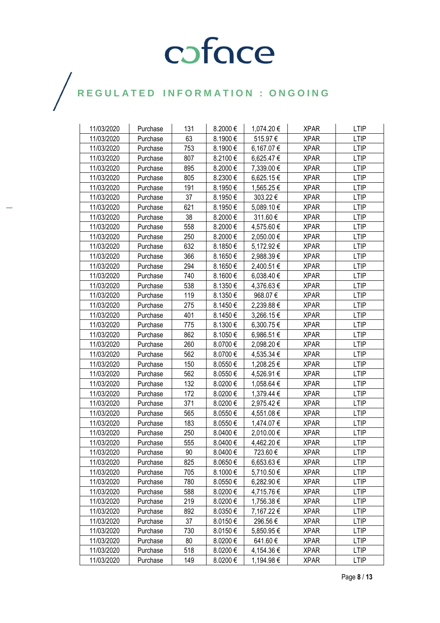| 11/03/2020 | Purchase | 131 | 8.2000€      | 1,074.20 € | <b>XPAR</b> | <b>LTIP</b> |
|------------|----------|-----|--------------|------------|-------------|-------------|
| 11/03/2020 | Purchase | 63  | 8.1900€      | 515.97€    | <b>XPAR</b> | <b>LTIP</b> |
| 11/03/2020 | Purchase | 753 | 8.1900€      | 6,167.07 € | <b>XPAR</b> | <b>LTIP</b> |
| 11/03/2020 | Purchase | 807 | 8.2100€      | 6,625.47 € | <b>XPAR</b> | <b>LTIP</b> |
| 11/03/2020 | Purchase | 895 | 8.2000€      | 7,339.00 € | <b>XPAR</b> | <b>LTIP</b> |
| 11/03/2020 | Purchase | 805 | 8.2300€      | 6,625.15€  | <b>XPAR</b> | <b>LTIP</b> |
| 11/03/2020 | Purchase | 191 | 8.1950€      | 1,565.25 € | <b>XPAR</b> | <b>LTIP</b> |
| 11/03/2020 | Purchase | 37  | 8.1950€      | 303.22€    | <b>XPAR</b> | <b>LTIP</b> |
| 11/03/2020 | Purchase | 621 | 8.1950€      | 5,089.10 € | XPAR        | <b>LTIP</b> |
| 11/03/2020 | Purchase | 38  | 8.2000€      | 311.60€    | <b>XPAR</b> | <b>LTIP</b> |
| 11/03/2020 | Purchase | 558 | 8.2000€      | 4,575.60 € | <b>XPAR</b> | <b>LTIP</b> |
| 11/03/2020 | Purchase | 250 | 8.2000€      | 2,050.00 € | <b>XPAR</b> | <b>LTIP</b> |
| 11/03/2020 | Purchase | 632 | 8.1850€      | 5,172.92 € | <b>XPAR</b> | <b>LTIP</b> |
| 11/03/2020 | Purchase | 366 | 8.1650€      | 2,988.39€  | XPAR        | <b>LTIP</b> |
| 11/03/2020 | Purchase | 294 | 8.1650€      | 2,400.51 € | <b>XPAR</b> | <b>LTIP</b> |
| 11/03/2020 | Purchase | 740 | 8.1600€      | 6,038.40 € | <b>XPAR</b> | <b>LTIP</b> |
| 11/03/2020 | Purchase | 538 | 8.1350€      | 4,376.63€  | <b>XPAR</b> | <b>LTIP</b> |
| 11/03/2020 | Purchase | 119 | 8.1350€      | 968.07€    | <b>XPAR</b> | <b>LTIP</b> |
| 11/03/2020 | Purchase | 275 | 8.1450€      | 2,239.88 € | <b>XPAR</b> | <b>LTIP</b> |
| 11/03/2020 | Purchase | 401 | 8.1450€      | 3,266.15€  | <b>XPAR</b> | <b>LTIP</b> |
| 11/03/2020 | Purchase | 775 | 8.1300€      | 6,300.75 € | <b>XPAR</b> | <b>LTIP</b> |
| 11/03/2020 | Purchase | 862 | 8.1050€      | 6,986.51€  | <b>XPAR</b> | <b>LTIP</b> |
| 11/03/2020 | Purchase | 260 | 8.0700€      | 2,098.20 € | <b>XPAR</b> | <b>LTIP</b> |
| 11/03/2020 | Purchase | 562 | 8.0700€      | 4,535.34 € | <b>XPAR</b> | <b>LTIP</b> |
| 11/03/2020 | Purchase | 150 | 8.0550€      | 1,208.25 € | <b>XPAR</b> | <b>LTIP</b> |
| 11/03/2020 | Purchase | 562 | 8.0550€      | 4,526.91 € | <b>XPAR</b> | <b>LTIP</b> |
| 11/03/2020 | Purchase | 132 | 8.0200€      | 1,058.64 € | <b>XPAR</b> | <b>LTIP</b> |
| 11/03/2020 | Purchase | 172 | 8.0200€      | 1,379.44 € | <b>XPAR</b> | <b>LTIP</b> |
| 11/03/2020 | Purchase | 371 | 8.0200€      | 2,975.42 € | <b>XPAR</b> | <b>LTIP</b> |
| 11/03/2020 | Purchase | 565 | 8.0550€      | 4,551.08 € | <b>XPAR</b> | <b>LTIP</b> |
| 11/03/2020 | Purchase | 183 | 8.0550€      | 1,474.07 € | <b>XPAR</b> | <b>LTIP</b> |
| 11/03/2020 | Purchase | 250 | 8.0400€      | 2,010.00 € | <b>XPAR</b> | <b>LTIP</b> |
| 11/03/2020 | Purchase | 555 | 8.0400€      | 4,462.20 € | <b>XPAR</b> | <b>LTIP</b> |
| 11/03/2020 | Purchase | 90  | 8.0400€      | 723.60€    | <b>XPAR</b> | <b>LTIP</b> |
| 11/03/2020 | Purchase | 825 | 8.0650€      | 6,653.63 € | <b>XPAR</b> | <b>LTIP</b> |
| 11/03/2020 | Purchase | 705 | 8.1000€      | 5,710.50 € | <b>XPAR</b> | <b>LTIP</b> |
| 11/03/2020 | Purchase | 780 | 8.0550€      | 6,282.90 € | <b>XPAR</b> | <b>LTIP</b> |
| 11/03/2020 | Purchase | 588 | 8.0200€      | 4,715.76 € | <b>XPAR</b> | <b>LTIP</b> |
| 11/03/2020 | Purchase | 219 | 8.0200€      | 1,756.38 € | <b>XPAR</b> | <b>LTIP</b> |
| 11/03/2020 | Purchase | 892 | 8.0350€      | 7,167.22 € | <b>XPAR</b> | <b>LTIP</b> |
| 11/03/2020 | Purchase | 37  | 8.0150€      | 296.56€    | <b>XPAR</b> | <b>LTIP</b> |
| 11/03/2020 | Purchase | 730 | 8.0150€      | 5,850.95 € | <b>XPAR</b> | <b>LTIP</b> |
| 11/03/2020 | Purchase | 80  | $8.0200 \in$ | 641.60 €   | <b>XPAR</b> | LTIP        |
| 11/03/2020 | Purchase | 518 | 8.0200€      | 4,154.36 € | <b>XPAR</b> | <b>LTIP</b> |
| 11/03/2020 | Purchase | 149 | 8.0200€      | 1,194.98 € | <b>XPAR</b> | <b>LTIP</b> |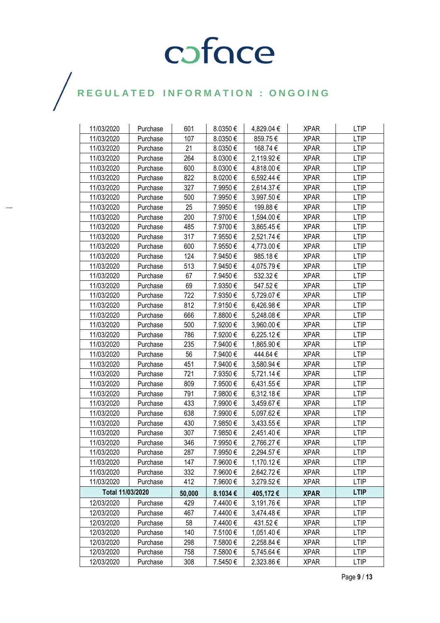| 11/03/2020       | Purchase | 601    | 8.0350€ | 4,829.04 €     | <b>XPAR</b> | <b>LTIP</b> |
|------------------|----------|--------|---------|----------------|-------------|-------------|
| 11/03/2020       | Purchase | 107    | 8.0350€ | 859.75€        | <b>XPAR</b> | <b>LTIP</b> |
| 11/03/2020       | Purchase | 21     | 8.0350€ | 168.74 €       | <b>XPAR</b> | <b>LTIP</b> |
| 11/03/2020       | Purchase | 264    | 8.0300€ | 2,119.92 €     | <b>XPAR</b> | <b>LTIP</b> |
| 11/03/2020       | Purchase | 600    | 8.0300€ | 4,818.00 €     | <b>XPAR</b> | <b>LTIP</b> |
| 11/03/2020       | Purchase | 822    | 8.0200€ | 6,592.44 €     | <b>XPAR</b> | <b>LTIP</b> |
| 11/03/2020       | Purchase | 327    | 7.9950€ | 2,614.37 €     | <b>XPAR</b> | <b>LTIP</b> |
| 11/03/2020       | Purchase | 500    | 7.9950€ | 3,997.50 €     | <b>XPAR</b> | <b>LTIP</b> |
| 11/03/2020       | Purchase | 25     | 7.9950€ | 199.88€        | <b>XPAR</b> | <b>LTIP</b> |
| 11/03/2020       | Purchase | 200    | 7.9700€ | 1,594.00 €     | <b>XPAR</b> | <b>LTIP</b> |
| 11/03/2020       | Purchase | 485    | 7.9700€ | 3,865.45 €     | <b>XPAR</b> | <b>LTIP</b> |
| 11/03/2020       | Purchase | 317    | 7.9550€ | 2,521.74 €     | <b>XPAR</b> | <b>LTIP</b> |
| 11/03/2020       | Purchase | 600    | 7.9550€ | 4,773.00 €     | <b>XPAR</b> | <b>LTIP</b> |
| 11/03/2020       | Purchase | 124    | 7.9450€ | 985.18€        | <b>XPAR</b> | <b>LTIP</b> |
| 11/03/2020       | Purchase | 513    | 7.9450€ | 4,075.79€      | <b>XPAR</b> | <b>LTIP</b> |
| 11/03/2020       | Purchase | 67     | 7.9450€ | 532.32€        | <b>XPAR</b> | <b>LTIP</b> |
| 11/03/2020       | Purchase | 69     | 7.9350€ | 547.52€        | <b>XPAR</b> | <b>LTIP</b> |
| 11/03/2020       | Purchase | 722    | 7.9350€ | 5,729.07 €     | <b>XPAR</b> | <b>LTIP</b> |
| 11/03/2020       | Purchase | 812    | 7.9150€ | 6,426.98€      | <b>XPAR</b> | <b>LTIP</b> |
| 11/03/2020       | Purchase | 666    | 7.8800€ | 5,248.08 €     | <b>XPAR</b> | <b>LTIP</b> |
| 11/03/2020       | Purchase | 500    | 7.9200€ | 3,960.00 €     | <b>XPAR</b> | <b>LTIP</b> |
| 11/03/2020       | Purchase | 786    | 7.9200€ | 6,225.12€      | <b>XPAR</b> | <b>LTIP</b> |
| 11/03/2020       | Purchase | 235    | 7.9400€ | 1,865.90 €     | <b>XPAR</b> | <b>LTIP</b> |
| 11/03/2020       | Purchase | 56     | 7.9400€ | 444.64€        | <b>XPAR</b> | <b>LTIP</b> |
| 11/03/2020       | Purchase | 451    | 7.9400€ | 3,580.94 €     | <b>XPAR</b> | <b>LTIP</b> |
| 11/03/2020       | Purchase | 721    | 7.9350€ | 5,721.14 €     | <b>XPAR</b> | <b>LTIP</b> |
| 11/03/2020       | Purchase | 809    | 7.9500€ | 6,431.55 €     | <b>XPAR</b> | <b>LTIP</b> |
| 11/03/2020       | Purchase | 791    | 7.9800€ | $6,312.18 \in$ | <b>XPAR</b> | <b>LTIP</b> |
| 11/03/2020       | Purchase | 433    | 7.9900€ | 3,459.67 €     | <b>XPAR</b> | <b>LTIP</b> |
| 11/03/2020       | Purchase | 638    | 7.9900€ | 5,097.62 €     | <b>XPAR</b> | <b>LTIP</b> |
| 11/03/2020       | Purchase | 430    | 7.9850€ | 3,433.55 €     | <b>XPAR</b> | LTIP        |
| 11/03/2020       | Purchase | 307    | 7.9850€ | 2,451.40 €     | <b>XPAR</b> | <b>LTIP</b> |
| 11/03/2020       | Purchase | 346    | 7.9950€ | 2,766.27€      | <b>XPAR</b> | <b>LTIP</b> |
| 11/03/2020       | Purchase | 287    | 7.9950€ | 2,294.57 €     | <b>XPAR</b> | <b>LTIP</b> |
| 11/03/2020       | Purchase | 147    | 7.9600€ | 1,170.12 €     | <b>XPAR</b> | <b>LTIP</b> |
| 11/03/2020       | Purchase | 332    | 7.9600€ | 2,642.72 €     | <b>XPAR</b> | <b>LTIP</b> |
| 11/03/2020       | Purchase | 412    | 7.9600€ | 3,279.52€      | <b>XPAR</b> | <b>LTIP</b> |
| Total 11/03/2020 |          | 50,000 | 8.1034€ | 405,172€       | <b>XPAR</b> | <b>LTIP</b> |
| 12/03/2020       | Purchase | 429    | 7.4400€ | 3,191.76 €     | <b>XPAR</b> | <b>LTIP</b> |
| 12/03/2020       | Purchase | 467    | 7.4400€ | 3,474.48 €     | <b>XPAR</b> | <b>LTIP</b> |
| 12/03/2020       | Purchase | 58     | 7.4400€ | 431.52€        | <b>XPAR</b> | <b>LTIP</b> |
| 12/03/2020       | Purchase | 140    | 7.5100€ | 1,051.40 €     | <b>XPAR</b> | <b>LTIP</b> |
| 12/03/2020       | Purchase | 298    | 7.5800€ | 2,258.84 €     | <b>XPAR</b> | LTIP        |
| 12/03/2020       | Purchase | 758    | 7.5800€ | 5,745.64 €     | <b>XPAR</b> | <b>LTIP</b> |
| 12/03/2020       | Purchase | 308    | 7.5450€ | 2,323.86 €     | <b>XPAR</b> | <b>LTIP</b> |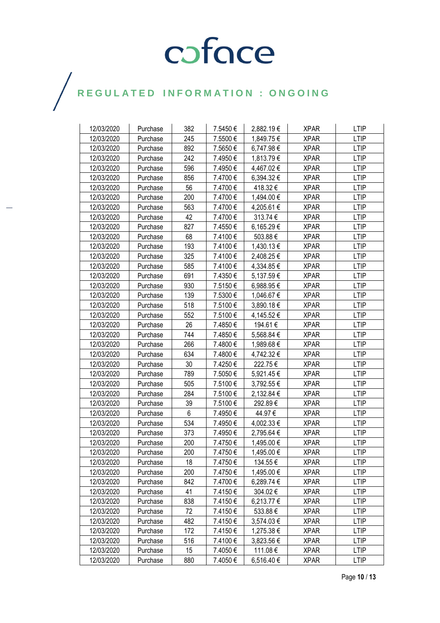| 12/03/2020 | Purchase | 382 | 7.5450€ | 2,882.19€  | <b>XPAR</b> | <b>LTIP</b> |
|------------|----------|-----|---------|------------|-------------|-------------|
| 12/03/2020 | Purchase | 245 | 7.5500€ | 1,849.75 € | <b>XPAR</b> | <b>LTIP</b> |
| 12/03/2020 | Purchase | 892 | 7.5650€ | 6,747.98 € | <b>XPAR</b> | <b>LTIP</b> |
| 12/03/2020 | Purchase | 242 | 7.4950€ | 1,813.79€  | <b>XPAR</b> | <b>LTIP</b> |
| 12/03/2020 | Purchase | 596 | 7.4950€ | 4,467.02 € | <b>XPAR</b> | <b>LTIP</b> |
| 12/03/2020 | Purchase | 856 | 7.4700€ | 6,394.32 € | <b>XPAR</b> | <b>LTIP</b> |
| 12/03/2020 | Purchase | 56  | 7.4700€ | 418.32€    | <b>XPAR</b> | <b>LTIP</b> |
| 12/03/2020 | Purchase | 200 | 7.4700€ | 1,494.00 € | <b>XPAR</b> | <b>LTIP</b> |
| 12/03/2020 | Purchase | 563 | 7.4700€ | 4,205.61 € | <b>XPAR</b> | <b>LTIP</b> |
| 12/03/2020 | Purchase | 42  | 7.4700€ | 313.74€    | <b>XPAR</b> | <b>LTIP</b> |
| 12/03/2020 | Purchase | 827 | 7.4550€ | 6,165.29€  | <b>XPAR</b> | <b>LTIP</b> |
| 12/03/2020 | Purchase | 68  | 7.4100€ | 503.88€    | <b>XPAR</b> | <b>LTIP</b> |
| 12/03/2020 | Purchase | 193 | 7.4100€ | 1,430.13 € | <b>XPAR</b> | <b>LTIP</b> |
| 12/03/2020 | Purchase | 325 | 7.4100€ | 2,408.25 € | <b>XPAR</b> | <b>LTIP</b> |
| 12/03/2020 | Purchase | 585 | 7.4100€ | 4,334.85 € | <b>XPAR</b> | <b>LTIP</b> |
| 12/03/2020 | Purchase | 691 | 7.4350€ | 5,137.59€  | <b>XPAR</b> | <b>LTIP</b> |
| 12/03/2020 | Purchase | 930 | 7.5150€ | 6,988.95€  | <b>XPAR</b> | <b>LTIP</b> |
| 12/03/2020 | Purchase | 139 | 7.5300€ | 1,046.67 € | <b>XPAR</b> | <b>LTIP</b> |
| 12/03/2020 | Purchase | 518 | 7.5100€ | 3,890.18 € | <b>XPAR</b> | <b>LTIP</b> |
| 12/03/2020 | Purchase | 552 | 7.5100€ | 4,145.52 € | <b>XPAR</b> | <b>LTIP</b> |
| 12/03/2020 | Purchase | 26  | 7.4850€ | 194.61 €   | <b>XPAR</b> | <b>LTIP</b> |
| 12/03/2020 | Purchase | 744 | 7.4850€ | 5,568.84 € | <b>XPAR</b> | <b>LTIP</b> |
| 12/03/2020 | Purchase | 266 | 7.4800€ | 1,989.68 € | <b>XPAR</b> | <b>LTIP</b> |
| 12/03/2020 | Purchase | 634 | 7.4800€ | 4,742.32 € | <b>XPAR</b> | <b>LTIP</b> |
| 12/03/2020 | Purchase | 30  | 7.4250€ | 222.75€    | <b>XPAR</b> | <b>LTIP</b> |
| 12/03/2020 | Purchase | 789 | 7.5050€ | 5,921.45 € | <b>XPAR</b> | <b>LTIP</b> |
| 12/03/2020 | Purchase | 505 | 7.5100€ | 3,792.55 € | <b>XPAR</b> | <b>LTIP</b> |
| 12/03/2020 | Purchase | 284 | 7.5100€ | 2,132.84 € | <b>XPAR</b> | <b>LTIP</b> |
| 12/03/2020 | Purchase | 39  | 7.5100€ | 292.89€    | <b>XPAR</b> | <b>LTIP</b> |
| 12/03/2020 | Purchase | 6   | 7.4950€ | 44.97€     | <b>XPAR</b> | <b>LTIP</b> |
| 12/03/2020 | Purchase | 534 | 7.4950€ | 4,002.33 € | <b>XPAR</b> | LTIP        |
| 12/03/2020 | Purchase | 373 | 7.4950€ | 2,795.64 € | <b>XPAR</b> | <b>LTIP</b> |
| 12/03/2020 | Purchase | 200 | 7.4750€ | 1,495.00 € | <b>XPAR</b> | <b>LTIP</b> |
| 12/03/2020 | Purchase | 200 | 7.4750€ | 1,495.00 € | <b>XPAR</b> | <b>LTIP</b> |
| 12/03/2020 | Purchase | 18  | 7.4750€ | 134.55 €   | <b>XPAR</b> | <b>LTIP</b> |
| 12/03/2020 | Purchase | 200 | 7.4750€ | 1,495.00 € | <b>XPAR</b> | <b>LTIP</b> |
| 12/03/2020 | Purchase | 842 | 7.4700€ | 6,289.74 € | <b>XPAR</b> | <b>LTIP</b> |
| 12/03/2020 | Purchase | 41  | 7.4150€ | 304.02€    | <b>XPAR</b> | <b>LTIP</b> |
| 12/03/2020 | Purchase | 838 | 7.4150€ | 6,213.77 € | <b>XPAR</b> | <b>LTIP</b> |
| 12/03/2020 | Purchase | 72  | 7.4150€ | 533.88€    | <b>XPAR</b> | <b>LTIP</b> |
| 12/03/2020 | Purchase | 482 | 7.4150€ | 3,574.03 € | <b>XPAR</b> | <b>LTIP</b> |
| 12/03/2020 | Purchase | 172 | 7.4150€ | 1,275.38 € | <b>XPAR</b> | <b>LTIP</b> |
| 12/03/2020 | Purchase | 516 | 7.4100€ | 3,823.56 € | <b>XPAR</b> | <b>LTIP</b> |
| 12/03/2020 | Purchase | 15  | 7.4050€ | 111.08€    | <b>XPAR</b> | <b>LTIP</b> |
| 12/03/2020 | Purchase | 880 | 7.4050€ | 6,516.40 € | XPAR        | LTIP        |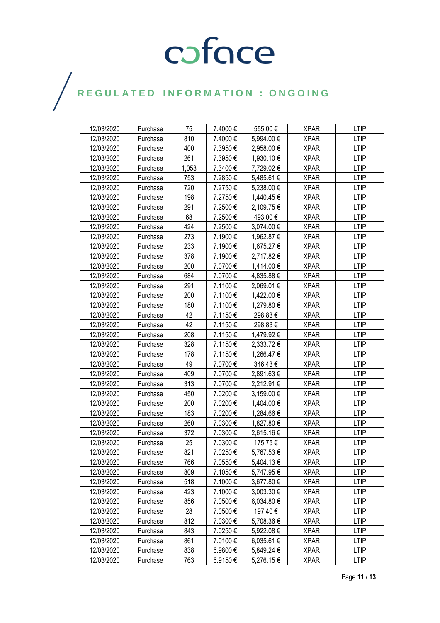| 12/03/2020 | Purchase | 75    | 7.4000€ | 555.00€    | <b>XPAR</b> | <b>LTIP</b> |
|------------|----------|-------|---------|------------|-------------|-------------|
| 12/03/2020 | Purchase | 810   | 7.4000€ | 5,994.00 € | <b>XPAR</b> | <b>LTIP</b> |
| 12/03/2020 | Purchase | 400   | 7.3950€ | 2,958.00 € | <b>XPAR</b> | <b>LTIP</b> |
| 12/03/2020 | Purchase | 261   | 7.3950€ | 1,930.10 € | <b>XPAR</b> | <b>LTIP</b> |
| 12/03/2020 | Purchase | 1,053 | 7.3400€ | 7,729.02€  | <b>XPAR</b> | <b>LTIP</b> |
| 12/03/2020 | Purchase | 753   | 7.2850€ | 5,485.61 € | <b>XPAR</b> | <b>LTIP</b> |
| 12/03/2020 | Purchase | 720   | 7.2750€ | 5,238.00 € | <b>XPAR</b> | <b>LTIP</b> |
| 12/03/2020 | Purchase | 198   | 7.2750€ | 1,440.45 € | <b>XPAR</b> | <b>LTIP</b> |
| 12/03/2020 | Purchase | 291   | 7.2500€ | 2,109.75 € | <b>XPAR</b> | <b>LTIP</b> |
| 12/03/2020 | Purchase | 68    | 7.2500€ | 493.00€    | <b>XPAR</b> | <b>LTIP</b> |
| 12/03/2020 | Purchase | 424   | 7.2500€ | 3,074.00 € | <b>XPAR</b> | <b>LTIP</b> |
| 12/03/2020 | Purchase | 273   | 7.1900€ | 1,962.87 € | <b>XPAR</b> | <b>LTIP</b> |
| 12/03/2020 | Purchase | 233   | 7.1900€ | 1,675.27 € | <b>XPAR</b> | <b>LTIP</b> |
| 12/03/2020 | Purchase | 378   | 7.1900€ | 2,717.82 € | <b>XPAR</b> | <b>LTIP</b> |
| 12/03/2020 | Purchase | 200   | 7.0700€ | 1,414.00 € | <b>XPAR</b> | <b>LTIP</b> |
| 12/03/2020 | Purchase | 684   | 7.0700€ | 4,835.88 € | <b>XPAR</b> | <b>LTIP</b> |
| 12/03/2020 | Purchase | 291   | 7.1100€ | 2,069.01 € | <b>XPAR</b> | <b>LTIP</b> |
| 12/03/2020 | Purchase | 200   | 7.1100€ | 1,422.00 € | <b>XPAR</b> | <b>LTIP</b> |
| 12/03/2020 | Purchase | 180   | 7.1100€ | 1,279.80 € | <b>XPAR</b> | <b>LTIP</b> |
| 12/03/2020 | Purchase | 42    | 7.1150€ | 298.83€    | <b>XPAR</b> | <b>LTIP</b> |
| 12/03/2020 | Purchase | 42    | 7.1150€ | 298.83€    | <b>XPAR</b> | LTIP        |
| 12/03/2020 | Purchase | 208   | 7.1150€ | 1,479.92 € | <b>XPAR</b> | <b>LTIP</b> |
| 12/03/2020 | Purchase | 328   | 7.1150€ | 2,333.72 € | <b>XPAR</b> | <b>LTIP</b> |
| 12/03/2020 | Purchase | 178   | 7.1150€ | 1,266.47€  | <b>XPAR</b> | <b>LTIP</b> |
| 12/03/2020 | Purchase | 49    | 7.0700€ | 346.43€    | <b>XPAR</b> | <b>LTIP</b> |
| 12/03/2020 | Purchase | 409   | 7.0700€ | 2,891.63 € | <b>XPAR</b> | LTIP        |
| 12/03/2020 | Purchase | 313   | 7.0700€ | 2,212.91 € | <b>XPAR</b> | <b>LTIP</b> |
| 12/03/2020 | Purchase | 450   | 7.0200€ | 3,159.00 € | <b>XPAR</b> | <b>LTIP</b> |
| 12/03/2020 | Purchase | 200   | 7.0200€ | 1,404.00 € | <b>XPAR</b> | <b>LTIP</b> |
| 12/03/2020 | Purchase | 183   | 7.0200€ | 1,284.66 € | <b>XPAR</b> | <b>LTIP</b> |
| 12/03/2020 | Purchase | 260   | 7.0300€ | 1,827.80 € | <b>XPAR</b> | <b>LTIP</b> |
| 12/03/2020 | Purchase | 372   | 7.0300€ | 2,615.16€  | <b>XPAR</b> | <b>LTIP</b> |
| 12/03/2020 | Purchase | 25    | 7.0300€ | 175.75€    | <b>XPAR</b> | <b>LTIP</b> |
| 12/03/2020 | Purchase | 821   | 7.0250€ | 5,767.53 € | <b>XPAR</b> | <b>LTIP</b> |
| 12/03/2020 | Purchase | 766   | 7.0550€ | 5,404.13 € | <b>XPAR</b> | <b>LTIP</b> |
| 12/03/2020 | Purchase | 809   | 7.1050€ | 5,747.95 € | <b>XPAR</b> | <b>LTIP</b> |
| 12/03/2020 | Purchase | 518   | 7.1000€ | 3,677.80 € | <b>XPAR</b> | <b>LTIP</b> |
| 12/03/2020 | Purchase | 423   | 7.1000€ | 3,003.30 € | <b>XPAR</b> | <b>LTIP</b> |
| 12/03/2020 | Purchase | 856   | 7.0500€ | 6,034.80 € | <b>XPAR</b> | <b>LTIP</b> |
| 12/03/2020 | Purchase | 28    | 7.0500€ | 197.40€    | <b>XPAR</b> | LTIP        |
| 12/03/2020 | Purchase | 812   | 7.0300€ | 5,708.36 € | <b>XPAR</b> | <b>LTIP</b> |
| 12/03/2020 | Purchase | 843   | 7.0250€ | 5,922.08 € | <b>XPAR</b> | <b>LTIP</b> |
| 12/03/2020 | Purchase | 861   | 7.0100€ | 6,035.61 € | <b>XPAR</b> | <b>LTIP</b> |
| 12/03/2020 | Purchase | 838   | 6.9800€ | 5,849.24 € | <b>XPAR</b> | <b>LTIP</b> |
| 12/03/2020 | Purchase | 763   | 6.9150€ | 5,276.15€  | <b>XPAR</b> | LTIP        |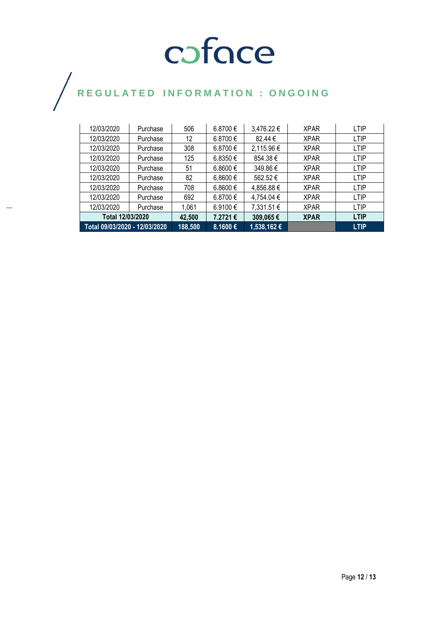| 12/03/2020                    | Purchase         | 506     | 6.8700€  | 3,476.22 €  | <b>XPAR</b> | <b>LTIP</b> |
|-------------------------------|------------------|---------|----------|-------------|-------------|-------------|
| 12/03/2020                    | Purchase         | 12      | 6.8700€  | 82.44 €     | <b>XPAR</b> | <b>LTIP</b> |
| 12/03/2020                    | Purchase         | 308     | 6.8700 € | 2,115.96 €  | <b>XPAR</b> | <b>LTIP</b> |
| 12/03/2020                    | Purchase         | 125     | 6.8350 € | 854.38€     | <b>XPAR</b> | <b>LTIP</b> |
| 12/03/2020                    | Purchase         | 51      | 6.8600 € | 349.86€     | <b>XPAR</b> | <b>LTIP</b> |
| 12/03/2020                    | Purchase         | 82      | 6.8600 € | 562.52€     | <b>XPAR</b> | <b>LTIP</b> |
| 12/03/2020                    | Purchase         | 708     | 6.8600 € | 4,856.88 €  | <b>XPAR</b> | <b>LTIP</b> |
| 12/03/2020                    | Purchase         | 692     | 6.8700€  | 4,754.04 €  | <b>XPAR</b> | <b>LTIP</b> |
| 12/03/2020                    | Purchase         | 1,061   | 6.9100 € | 7,331.51 €  | <b>XPAR</b> | <b>LTIP</b> |
|                               | Total 12/03/2020 |         | 7.2721€  | 309,065€    | <b>XPAR</b> | <b>LTIP</b> |
| Total 09/03/2020 - 12/03/2020 |                  | 188,500 | 8.1600€  | 1,538,162 € |             | <b>LTIP</b> |